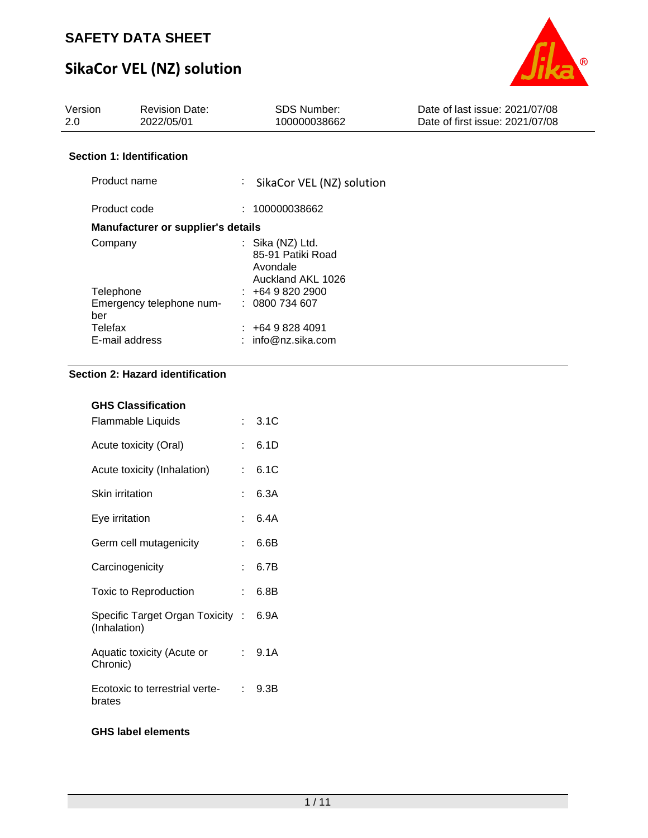# **SikaCor VEL (NZ) solution**



| Version<br>2.0 | <b>Revision Date:</b><br>2022/05/01 | <b>SDS Number:</b><br>100000038662                                       | Date of last issue: 2021/07/08<br>Date of first issue: 2021/07/08 |
|----------------|-------------------------------------|--------------------------------------------------------------------------|-------------------------------------------------------------------|
|                | <b>Section 1: Identification</b>    |                                                                          |                                                                   |
| Product name   |                                     | ÷<br>SikaCor VEL (NZ) solution                                           |                                                                   |
| Product code   |                                     | : 100000038662                                                           |                                                                   |
|                | Manufacturer or supplier's details  |                                                                          |                                                                   |
| Company        |                                     | $:$ Sika (NZ) Ltd.<br>85-91 Patiki Road<br>Avondale<br>Auckland AKL 1026 |                                                                   |
| Telephone      |                                     | $\pm 6498202900$                                                         |                                                                   |
| ber            | Emergency telephone num-            | : 0800734607                                                             |                                                                   |
| Telefax        |                                     | $: +6498284091$                                                          |                                                                   |
|                | E-mail address                      | $:$ info@nz.sika.com                                                     |                                                                   |

### **Section 2: Hazard identification**

| <b>GHS Classification</b>                      |     |        |
|------------------------------------------------|-----|--------|
| Flammable Liquids                              |     | : 3.1C |
| Acute toxicity (Oral)                          | t.  | 6.1D   |
| Acute toxicity (Inhalation)                    | ÷   | 6.1C   |
| Skin irritation                                | t   | 6.3A   |
| Eye irritation                                 |     | 6.4A   |
| Germ cell mutagenicity                         | ٠   | 6.6B   |
| Carcinogenicity                                | ۰   | 6.7B   |
| <b>Toxic to Reproduction</b>                   | t.  | 6.8B   |
| Specific Target Organ Toxicity<br>(Inhalation) | -10 | 6.9A   |
| Aquatic toxicity (Acute or<br>Chronic)         | t.  | 9.1A   |
| Ecotoxic to terrestrial verte-<br>brates       | t.  | 9.3B   |
|                                                |     |        |

### **GHS label elements**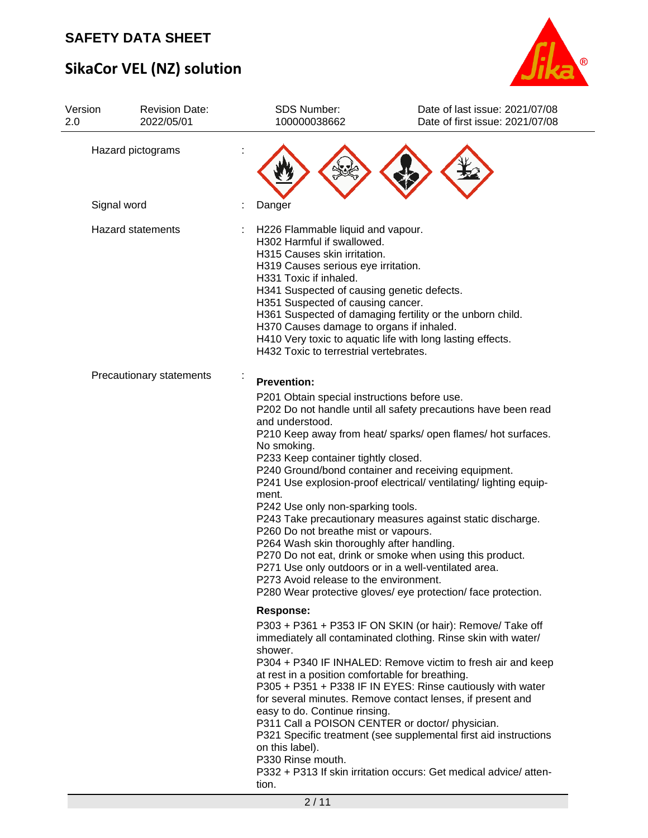# **SikaCor VEL (NZ) solution**



| Version<br>2.0 | <b>Revision Date:</b><br>2022/05/01 | SDS Number:<br>100000038662                                                                                                                                                                                                                                                                                                               | Date of last issue: 2021/07/08<br>Date of first issue: 2021/07/08                                                                                                                                                                                                                                                                                                                                                                                                                                                |
|----------------|-------------------------------------|-------------------------------------------------------------------------------------------------------------------------------------------------------------------------------------------------------------------------------------------------------------------------------------------------------------------------------------------|------------------------------------------------------------------------------------------------------------------------------------------------------------------------------------------------------------------------------------------------------------------------------------------------------------------------------------------------------------------------------------------------------------------------------------------------------------------------------------------------------------------|
|                | Hazard pictograms                   |                                                                                                                                                                                                                                                                                                                                           |                                                                                                                                                                                                                                                                                                                                                                                                                                                                                                                  |
|                | Signal word                         | Danger                                                                                                                                                                                                                                                                                                                                    |                                                                                                                                                                                                                                                                                                                                                                                                                                                                                                                  |
|                | <b>Hazard statements</b>            | H226 Flammable liquid and vapour.<br>H302 Harmful if swallowed.<br>H315 Causes skin irritation.<br>H319 Causes serious eye irritation.<br>H331 Toxic if inhaled.<br>H341 Suspected of causing genetic defects.<br>H351 Suspected of causing cancer.<br>H370 Causes damage to organs if inhaled.<br>H432 Toxic to terrestrial vertebrates. | H361 Suspected of damaging fertility or the unborn child.<br>H410 Very toxic to aquatic life with long lasting effects.                                                                                                                                                                                                                                                                                                                                                                                          |
|                | Precautionary statements            | <b>Prevention:</b><br>P201 Obtain special instructions before use.<br>and understood.<br>No smoking.<br>P233 Keep container tightly closed.<br>ment.<br>P242 Use only non-sparking tools.<br>P260 Do not breathe mist or vapours.<br>P264 Wash skin thoroughly after handling.<br>P273 Avoid release to the environment.                  | P202 Do not handle until all safety precautions have been read<br>P210 Keep away from heat/ sparks/ open flames/ hot surfaces.<br>P240 Ground/bond container and receiving equipment.<br>P241 Use explosion-proof electrical/ ventilating/ lighting equip-<br>P243 Take precautionary measures against static discharge.<br>P270 Do not eat, drink or smoke when using this product.<br>P271 Use only outdoors or in a well-ventilated area.<br>P280 Wear protective gloves/ eye protection/ face protection.    |
|                |                                     | <b>Response:</b><br>shower.<br>at rest in a position comfortable for breathing.<br>easy to do. Continue rinsing.<br>on this label).<br>P330 Rinse mouth.<br>tion.                                                                                                                                                                         | P303 + P361 + P353 IF ON SKIN (or hair): Remove/ Take off<br>immediately all contaminated clothing. Rinse skin with water/<br>P304 + P340 IF INHALED: Remove victim to fresh air and keep<br>P305 + P351 + P338 IF IN EYES: Rinse cautiously with water<br>for several minutes. Remove contact lenses, if present and<br>P311 Call a POISON CENTER or doctor/ physician.<br>P321 Specific treatment (see supplemental first aid instructions<br>P332 + P313 If skin irritation occurs: Get medical advice/atten- |
|                |                                     | 2/11                                                                                                                                                                                                                                                                                                                                      |                                                                                                                                                                                                                                                                                                                                                                                                                                                                                                                  |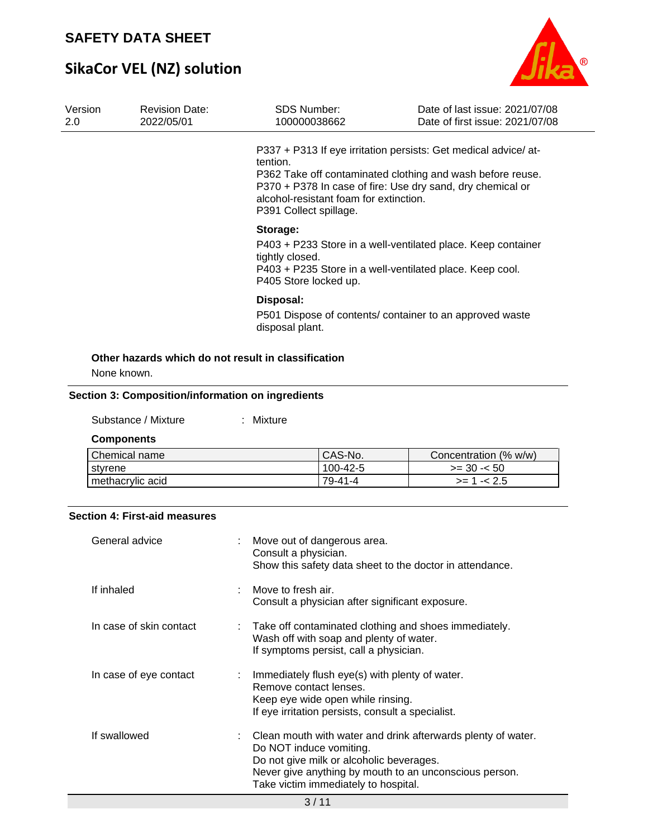# **SikaCor VEL (NZ) solution**



| Version<br>2.0                                                                                                                                                                   | <b>Revision Date:</b><br>2022/05/01                                                      |           | <b>SDS Number:</b><br>100000038662                                                                                                                                                                                                                             | Date of last issue: 2021/07/08<br>Date of first issue: 2021/07/08 |  |  |  |  |  |
|----------------------------------------------------------------------------------------------------------------------------------------------------------------------------------|------------------------------------------------------------------------------------------|-----------|----------------------------------------------------------------------------------------------------------------------------------------------------------------------------------------------------------------------------------------------------------------|-------------------------------------------------------------------|--|--|--|--|--|
|                                                                                                                                                                                  |                                                                                          | tention.  | P337 + P313 If eye irritation persists: Get medical advice/at-<br>P362 Take off contaminated clothing and wash before reuse.<br>P370 + P378 In case of fire: Use dry sand, dry chemical or<br>alcohol-resistant foam for extinction.<br>P391 Collect spillage. |                                                                   |  |  |  |  |  |
| Storage:<br>P403 + P233 Store in a well-ventilated place. Keep container<br>tightly closed.<br>P403 + P235 Store in a well-ventilated place. Keep cool.<br>P405 Store locked up. |                                                                                          |           |                                                                                                                                                                                                                                                                |                                                                   |  |  |  |  |  |
|                                                                                                                                                                                  | Disposal:<br>P501 Dispose of contents/ container to an approved waste<br>disposal plant. |           |                                                                                                                                                                                                                                                                |                                                                   |  |  |  |  |  |
|                                                                                                                                                                                  | Other hazards which do not result in classification                                      |           |                                                                                                                                                                                                                                                                |                                                                   |  |  |  |  |  |
|                                                                                                                                                                                  | None known.                                                                              |           |                                                                                                                                                                                                                                                                |                                                                   |  |  |  |  |  |
|                                                                                                                                                                                  | Section 3: Composition/information on ingredients                                        |           |                                                                                                                                                                                                                                                                |                                                                   |  |  |  |  |  |
|                                                                                                                                                                                  | Substance / Mixture                                                                      | : Mixture |                                                                                                                                                                                                                                                                |                                                                   |  |  |  |  |  |
|                                                                                                                                                                                  | <b>Components</b>                                                                        |           |                                                                                                                                                                                                                                                                |                                                                   |  |  |  |  |  |
|                                                                                                                                                                                  | Chemical name                                                                            |           | CAS-No.<br>100-42-5                                                                                                                                                                                                                                            | Concentration (% w/w)                                             |  |  |  |  |  |
|                                                                                                                                                                                  | styrene                                                                                  |           |                                                                                                                                                                                                                                                                | $>= 30 - 50$                                                      |  |  |  |  |  |
|                                                                                                                                                                                  | methacrylic acid                                                                         |           | 79-41-4                                                                                                                                                                                                                                                        | $>= 1 - 2.5$                                                      |  |  |  |  |  |
|                                                                                                                                                                                  | <b>Section 4: First-aid measures</b><br>General advice                                   |           | Move out of dangerous area.                                                                                                                                                                                                                                    |                                                                   |  |  |  |  |  |

|                         | $\sim$ $\mu$                                                                                                                                                                                                                          |
|-------------------------|---------------------------------------------------------------------------------------------------------------------------------------------------------------------------------------------------------------------------------------|
| If swallowed            | Clean mouth with water and drink afterwards plenty of water.<br>Do NOT induce vomiting.<br>Do not give milk or alcoholic beverages.<br>Never give anything by mouth to an unconscious person.<br>Take victim immediately to hospital. |
| In case of eye contact  | Immediately flush eye(s) with plenty of water.<br>Remove contact lenses.<br>Keep eye wide open while rinsing.<br>If eye irritation persists, consult a specialist.                                                                    |
| In case of skin contact | : Take off contaminated clothing and shoes immediately.<br>Wash off with soap and plenty of water.<br>If symptoms persist, call a physician.                                                                                          |
| If inhaled              | Move to fresh air.<br>Consult a physician after significant exposure.                                                                                                                                                                 |
| General advice          | - Move out of dangerous area.<br>Consult a physician.<br>Show this safety data sheet to the doctor in attendance.                                                                                                                     |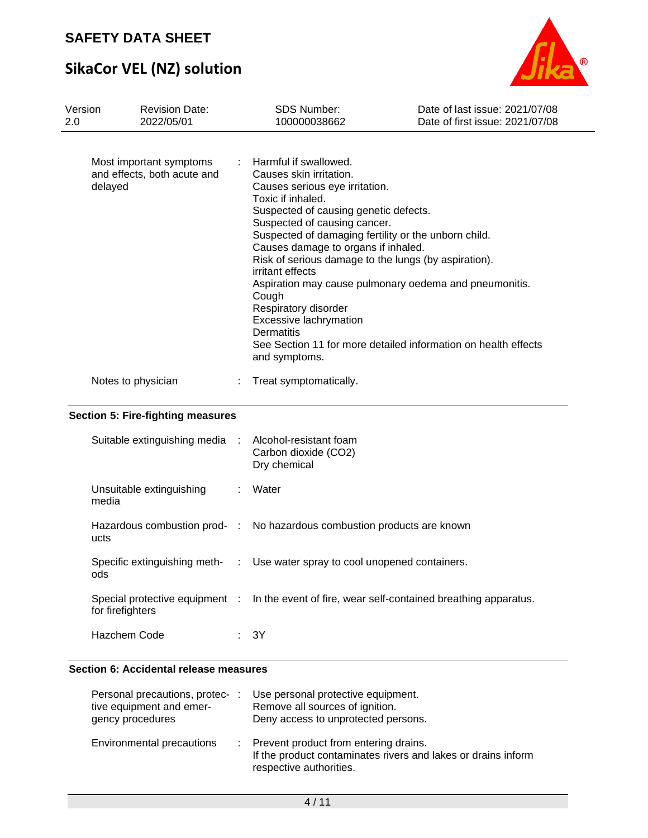# **SikaCor VEL (NZ) solution**



| Version<br>2.0 | <b>Revision Date:</b><br>2022/05/01                    | <b>SDS Number:</b><br>100000038662                                                                                                                                                                                                                                                                                                                                                                                                                      | Date of last issue: 2021/07/08<br>Date of first issue: 2021/07/08                                                        |
|----------------|--------------------------------------------------------|---------------------------------------------------------------------------------------------------------------------------------------------------------------------------------------------------------------------------------------------------------------------------------------------------------------------------------------------------------------------------------------------------------------------------------------------------------|--------------------------------------------------------------------------------------------------------------------------|
| delayed        | Most important symptoms<br>and effects, both acute and | : Harmful if swallowed.<br>Causes skin irritation.<br>Causes serious eye irritation.<br>Toxic if inhaled.<br>Suspected of causing genetic defects.<br>Suspected of causing cancer.<br>Suspected of damaging fertility or the unborn child.<br>Causes damage to organs if inhaled.<br>Risk of serious damage to the lungs (by aspiration).<br>irritant effects<br>Cough<br>Respiratory disorder<br>Excessive lachrymation<br>Dermatitis<br>and symptoms. | Aspiration may cause pulmonary oedema and pneumonitis.<br>See Section 11 for more detailed information on health effects |
|                | Notes to physician                                     | Treat symptomatically.                                                                                                                                                                                                                                                                                                                                                                                                                                  |                                                                                                                          |

### **Section 5: Fire-fighting measures**

| Suitable extinguishing media : Alcohol-resistant foam | Carbon dioxide (CO2)<br>Dry chemical                                                          |
|-------------------------------------------------------|-----------------------------------------------------------------------------------------------|
| Unsuitable extinguishing<br>media                     | Water                                                                                         |
| ucts                                                  | Hazardous combustion prod- : No hazardous combustion products are known                       |
| ods                                                   | Specific extinguishing meth- : Use water spray to cool unopened containers.                   |
| for firefighters                                      | Special protective equipment : In the event of fire, wear self-contained breathing apparatus. |
| Hazchem Code                                          | : 3Y                                                                                          |

### **Section 6: Accidental release measures**

| Personal precautions, protec-:<br>tive equipment and emer-<br>gency procedures |   | Use personal protective equipment.<br>Remove all sources of ignition.<br>Deny access to unprotected persons.                      |
|--------------------------------------------------------------------------------|---|-----------------------------------------------------------------------------------------------------------------------------------|
| Environmental precautions                                                      | ÷ | Prevent product from entering drains.<br>If the product contaminates rivers and lakes or drains inform<br>respective authorities. |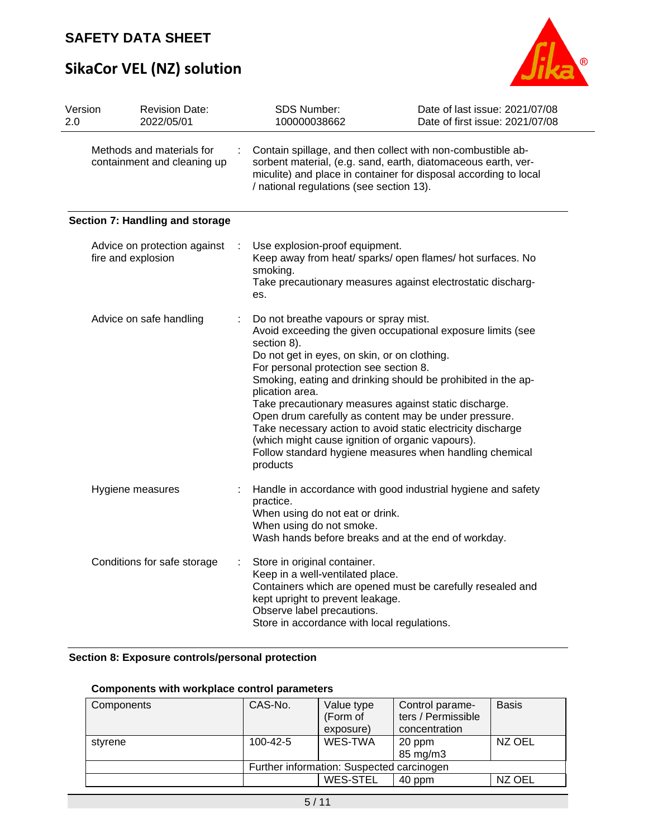# **SikaCor VEL (NZ) solution**



| Version<br>2.0 | <b>Revision Date:</b><br>2022/05/01                      |   | SDS Number:<br>100000038662                                                                                                                                                                                                                                                                                                                                                                                        | Date of last issue: 2021/07/08<br>Date of first issue: 2021/07/08                                                                                                                      |
|----------------|----------------------------------------------------------|---|--------------------------------------------------------------------------------------------------------------------------------------------------------------------------------------------------------------------------------------------------------------------------------------------------------------------------------------------------------------------------------------------------------------------|----------------------------------------------------------------------------------------------------------------------------------------------------------------------------------------|
|                | Methods and materials for<br>containment and cleaning up |   | Contain spillage, and then collect with non-combustible ab-<br>/ national regulations (see section 13).                                                                                                                                                                                                                                                                                                            | sorbent material, (e.g. sand, earth, diatomaceous earth, ver-<br>miculite) and place in container for disposal according to local                                                      |
|                | Section 7: Handling and storage                          |   |                                                                                                                                                                                                                                                                                                                                                                                                                    |                                                                                                                                                                                        |
|                | Advice on protection against<br>fire and explosion       |   | Use explosion-proof equipment.<br>smoking.<br>es.                                                                                                                                                                                                                                                                                                                                                                  | Keep away from heat/ sparks/ open flames/ hot surfaces. No<br>Take precautionary measures against electrostatic discharg-                                                              |
|                | Advice on safe handling                                  |   | Do not breathe vapours or spray mist.<br>section 8).<br>Do not get in eyes, on skin, or on clothing.<br>For personal protection see section 8.<br>plication area.<br>Take precautionary measures against static discharge.<br>Open drum carefully as content may be under pressure.<br>Take necessary action to avoid static electricity discharge<br>(which might cause ignition of organic vapours).<br>products | Avoid exceeding the given occupational exposure limits (see<br>Smoking, eating and drinking should be prohibited in the ap-<br>Follow standard hygiene measures when handling chemical |
|                | Hygiene measures                                         | ÷ | practice.<br>When using do not eat or drink.<br>When using do not smoke.<br>Wash hands before breaks and at the end of workday.                                                                                                                                                                                                                                                                                    | Handle in accordance with good industrial hygiene and safety                                                                                                                           |
|                | Conditions for safe storage                              |   | Store in original container.<br>Keep in a well-ventilated place.<br>kept upright to prevent leakage.<br>Observe label precautions.<br>Store in accordance with local regulations.                                                                                                                                                                                                                                  | Containers which are opened must be carefully resealed and                                                                                                                             |

### **Section 8: Exposure controls/personal protection**

### **Components with workplace control parameters**

| CAS-No.                                   | Value type      | Control parame-    | <b>Basis</b>       |  |  |  |
|-------------------------------------------|-----------------|--------------------|--------------------|--|--|--|
|                                           | exposure)       | concentration      |                    |  |  |  |
| $100 - 42 - 5$                            | WES-TWA         | 20 ppm<br>85 mg/m3 | NZ OEL             |  |  |  |
| Further information: Suspected carcinogen |                 |                    |                    |  |  |  |
|                                           | <b>WES-STEL</b> | 40 ppm             | NZ OEL             |  |  |  |
|                                           |                 | (Form of           | ters / Permissible |  |  |  |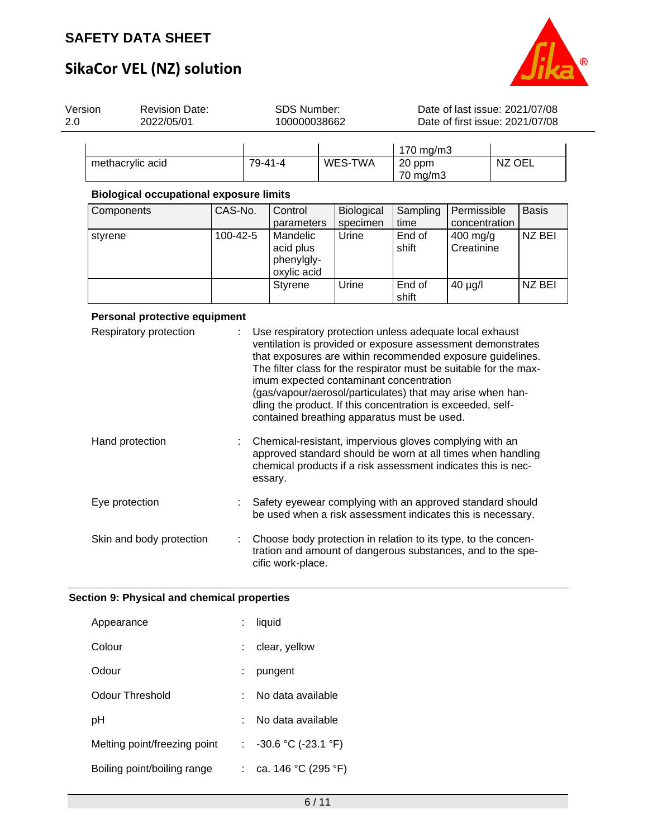

# **SikaCor VEL (NZ) solution**

| 2.0                                                                                                                                | Version<br><b>Revision Date:</b><br>2022/05/01 |  |         | <b>SDS Number:</b><br>100000038662 |  |              | Date of last issue: 2021/07/08<br>Date of first issue: 2021/07/08 |  |        |  |
|------------------------------------------------------------------------------------------------------------------------------------|------------------------------------------------|--|---------|------------------------------------|--|--------------|-------------------------------------------------------------------|--|--------|--|
|                                                                                                                                    | methacrylic acid                               |  | 79-41-4 |                                    |  | WES-TWA      | 170 mg/m3<br>20 ppm<br>70 mg/m3                                   |  | NZ OEL |  |
| <b>Biological occupational exposure limits</b><br>CAS-No.<br>Permissible<br>Components<br>Control<br><b>Biological</b><br>Sampling |                                                |  |         |                                    |  | <b>Basis</b> |                                                                   |  |        |  |

| Components | CAS-No.  | Control                                            | <b>Biological</b> | Sampling        | Permissible                      | <b>Basis</b> |
|------------|----------|----------------------------------------------------|-------------------|-----------------|----------------------------------|--------------|
|            |          | parameters                                         | specimen          | time            | concentration                    |              |
| styrene    | 100-42-5 | Mandelic<br>acid plus<br>phenylgly-<br>oxylic acid | Urine             | End of<br>shift | $400 \text{ mg/g}$<br>Creatinine | NZ BEI       |
|            |          | Styrene                                            | Urine             | End of<br>shift | $40 \mu g/l$                     | NZ BEI       |

### **Personal protective equipment**

| Respiratory protection   | Use respiratory protection unless adequate local exhaust<br>ventilation is provided or exposure assessment demonstrates<br>that exposures are within recommended exposure guidelines.<br>The filter class for the respirator must be suitable for the max-<br>imum expected contaminant concentration<br>(gas/vapour/aerosol/particulates) that may arise when han-<br>dling the product. If this concentration is exceeded, self-<br>contained breathing apparatus must be used. |
|--------------------------|-----------------------------------------------------------------------------------------------------------------------------------------------------------------------------------------------------------------------------------------------------------------------------------------------------------------------------------------------------------------------------------------------------------------------------------------------------------------------------------|
| Hand protection          | Chemical-resistant, impervious gloves complying with an<br>approved standard should be worn at all times when handling<br>chemical products if a risk assessment indicates this is nec-<br>essary.                                                                                                                                                                                                                                                                                |
| Eye protection           | Safety eyewear complying with an approved standard should<br>be used when a risk assessment indicates this is necessary.                                                                                                                                                                                                                                                                                                                                                          |
| Skin and body protection | Choose body protection in relation to its type, to the concen-<br>tration and amount of dangerous substances, and to the spe-<br>cific work-place.                                                                                                                                                                                                                                                                                                                                |

### **Section 9: Physical and chemical properties**

| Appearance                   |   | liquid                                |
|------------------------------|---|---------------------------------------|
| Colour                       |   | clear, yellow                         |
| Odour                        | ÷ | pungent                               |
| Odour Threshold              |   | No data available                     |
| рH                           |   | No data available                     |
| Melting point/freezing point |   | : $-30.6 \degree C (-23.1 \degree F)$ |
| Boiling point/boiling range  |   | : ca. 146 °C (295 °F)                 |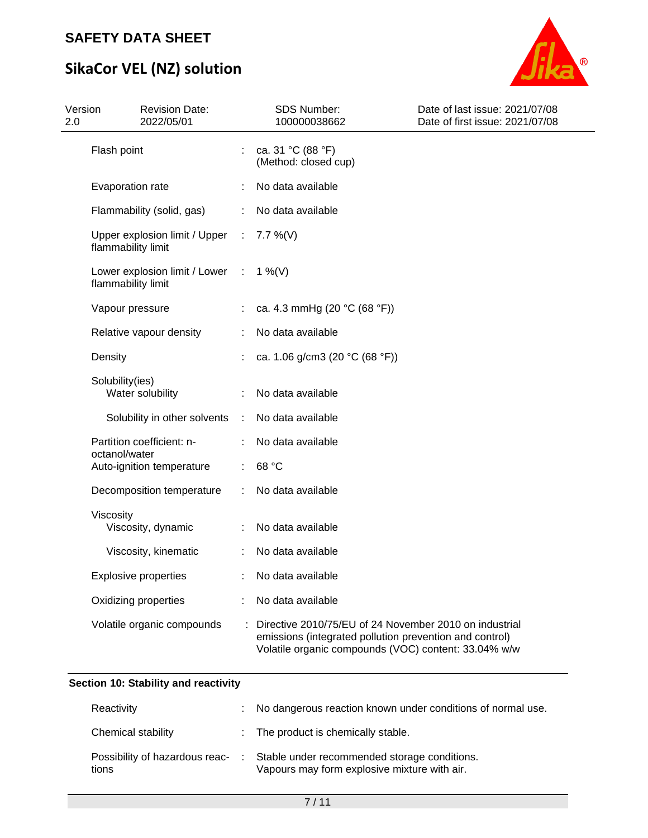# **SikaCor VEL (NZ) solution**



| Version<br>2.0 | <b>Revision Date:</b><br>2022/05/01                             |                             | <b>SDS Number:</b><br>100000038662                                                                                                                                        | Date of last issue: 2021/07/08<br>Date of first issue: 2021/07/08 |
|----------------|-----------------------------------------------------------------|-----------------------------|---------------------------------------------------------------------------------------------------------------------------------------------------------------------------|-------------------------------------------------------------------|
|                | Flash point                                                     |                             | ca. 31 °C (88 °F)<br>(Method: closed cup)                                                                                                                                 |                                                                   |
|                | Evaporation rate                                                |                             | No data available                                                                                                                                                         |                                                                   |
|                | Flammability (solid, gas)                                       |                             | No data available                                                                                                                                                         |                                                                   |
|                | Upper explosion limit / Upper<br>flammability limit             | $\sim 10^6$                 | $7.7\%$ (V)                                                                                                                                                               |                                                                   |
|                | Lower explosion limit / Lower : $1\%$ (V)<br>flammability limit |                             |                                                                                                                                                                           |                                                                   |
|                | Vapour pressure                                                 |                             | ca. 4.3 mmHg (20 °C (68 °F))                                                                                                                                              |                                                                   |
|                | Relative vapour density                                         |                             | No data available                                                                                                                                                         |                                                                   |
|                | Density                                                         |                             | ca. 1.06 g/cm3 (20 $°C$ (68 °F))                                                                                                                                          |                                                                   |
|                | Solubility(ies)<br>Water solubility                             |                             | No data available                                                                                                                                                         |                                                                   |
|                | Solubility in other solvents                                    | $\mathcal{I}^{\mathcal{I}}$ | No data available                                                                                                                                                         |                                                                   |
|                | Partition coefficient: n-<br>octanol/water                      |                             | No data available                                                                                                                                                         |                                                                   |
|                | Auto-ignition temperature                                       |                             | 68 °C                                                                                                                                                                     |                                                                   |
|                | Decomposition temperature                                       |                             | No data available                                                                                                                                                         |                                                                   |
|                | Viscosity<br>Viscosity, dynamic                                 |                             | No data available                                                                                                                                                         |                                                                   |
|                | Viscosity, kinematic                                            |                             | No data available                                                                                                                                                         |                                                                   |
|                | <b>Explosive properties</b>                                     |                             | No data available                                                                                                                                                         |                                                                   |
|                | Oxidizing properties                                            |                             | No data available                                                                                                                                                         |                                                                   |
|                | Volatile organic compounds                                      |                             | Directive 2010/75/EU of 24 November 2010 on industrial<br>emissions (integrated pollution prevention and control)<br>Volatile organic compounds (VOC) content: 33.04% w/w |                                                                   |

### **Section 10: Stability and reactivity**

| Reactivity                              | : No dangerous reaction known under conditions of normal use.                                |
|-----------------------------------------|----------------------------------------------------------------------------------------------|
| Chemical stability                      | : The product is chemically stable.                                                          |
| Possibility of hazardous reac-<br>tions | Stable under recommended storage conditions.<br>Vapours may form explosive mixture with air. |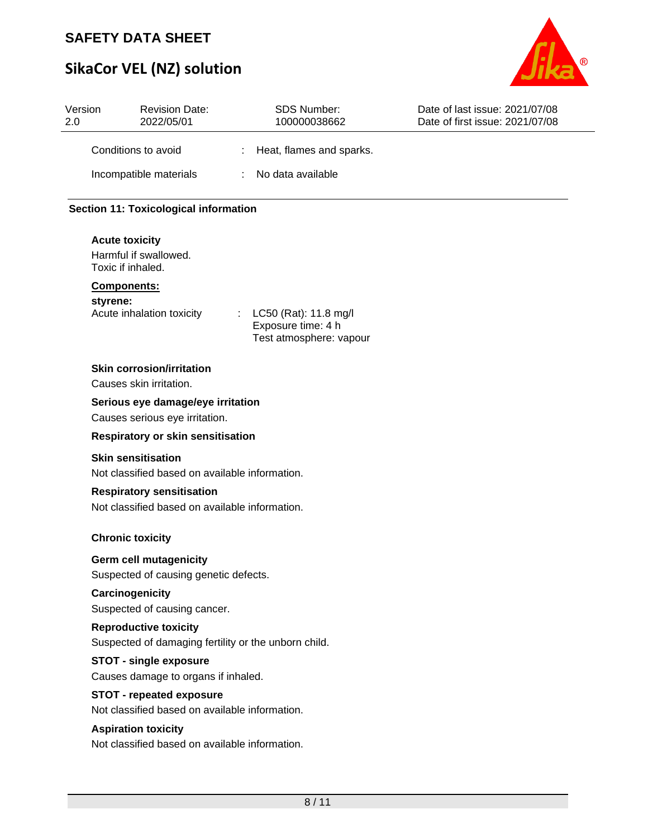# **SikaCor VEL (NZ) solution**



| Version<br>2.0 | <b>Revision Date:</b><br>2022/05/01                                                  | <b>SDS Number:</b><br>100000038662                                          | Date of last issue: 2021/07/08<br>Date of first issue: 2021/07/08 |
|----------------|--------------------------------------------------------------------------------------|-----------------------------------------------------------------------------|-------------------------------------------------------------------|
|                | Conditions to avoid                                                                  | Heat, flames and sparks.                                                    |                                                                   |
|                | Incompatible materials                                                               | No data available<br>÷                                                      |                                                                   |
|                | <b>Section 11: Toxicological information</b>                                         |                                                                             |                                                                   |
|                | <b>Acute toxicity</b><br>Harmful if swallowed.<br>Toxic if inhaled.                  |                                                                             |                                                                   |
|                | Components:                                                                          |                                                                             |                                                                   |
|                | styrene:<br>Acute inhalation toxicity                                                | LC50 (Rat): 11.8 mg/l<br>÷<br>Exposure time: 4 h<br>Test atmosphere: vapour |                                                                   |
|                | <b>Skin corrosion/irritation</b><br>Causes skin irritation.                          |                                                                             |                                                                   |
|                | Serious eye damage/eye irritation<br>Causes serious eye irritation.                  |                                                                             |                                                                   |
|                | Respiratory or skin sensitisation                                                    |                                                                             |                                                                   |
|                | <b>Skin sensitisation</b><br>Not classified based on available information.          |                                                                             |                                                                   |
|                | <b>Respiratory sensitisation</b><br>Not classified based on available information.   |                                                                             |                                                                   |
|                | <b>Chronic toxicity</b>                                                              |                                                                             |                                                                   |
|                | <b>Germ cell mutagenicity</b><br>Suspected of causing genetic defects.               |                                                                             |                                                                   |
|                | Carcinogenicity<br>Suspected of causing cancer.                                      |                                                                             |                                                                   |
|                | <b>Reproductive toxicity</b><br>Suspected of damaging fertility or the unborn child. |                                                                             |                                                                   |
|                | <b>STOT - single exposure</b><br>Causes damage to organs if inhaled.                 |                                                                             |                                                                   |
|                | <b>STOT - repeated exposure</b><br>Not classified based on available information.    |                                                                             |                                                                   |
|                | <b>Aspiration toxicity</b><br>Not classified based on available information.         |                                                                             |                                                                   |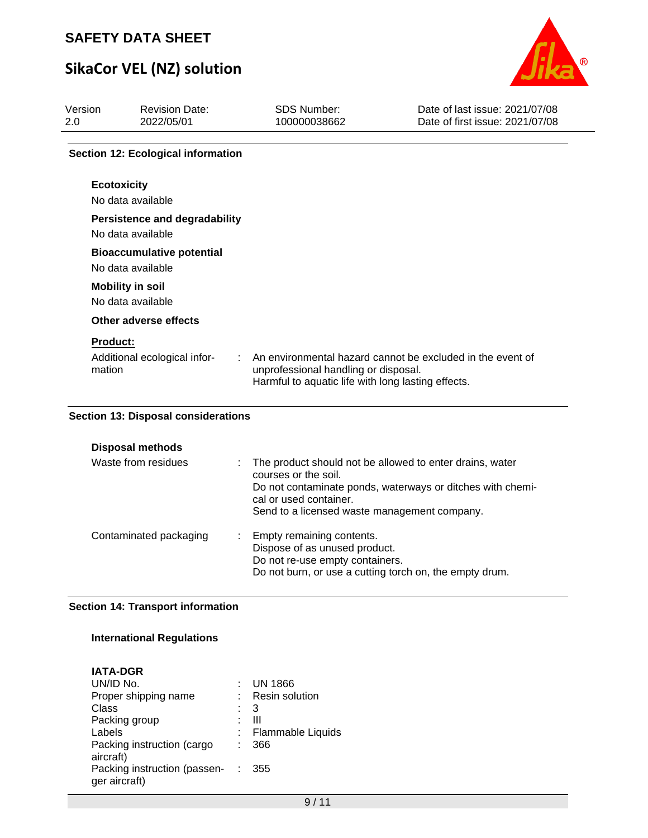# **SikaCor VEL (NZ) solution**



| Version<br>2.0 <sub>2</sub> | <b>Revision Date:</b><br>2022/05/01                       | <b>SDS Number:</b><br>100000038662                                                         | Date of last issue: 2021/07/08<br>Date of first issue: 2021/07/08 |
|-----------------------------|-----------------------------------------------------------|--------------------------------------------------------------------------------------------|-------------------------------------------------------------------|
|                             | <b>Section 12: Ecological information</b>                 |                                                                                            |                                                                   |
|                             | <b>Ecotoxicity</b><br>No data available                   |                                                                                            |                                                                   |
|                             | <b>Persistence and degradability</b><br>No data available |                                                                                            |                                                                   |
|                             | <b>Bioaccumulative potential</b><br>No data available     |                                                                                            |                                                                   |
|                             | <b>Mobility in soil</b><br>No data available              |                                                                                            |                                                                   |
|                             | Other adverse effects                                     |                                                                                            |                                                                   |
| <b>Product:</b><br>mation   | Additional ecological infor-                              | unprofessional handling or disposal.<br>Harmful to aquatic life with long lasting effects. | An environmental hazard cannot be excluded in the event of        |

### **Section 13: Disposal considerations**

| <b>Disposal methods</b><br>Waste from residues | The product should not be allowed to enter drains, water<br>÷.<br>courses or the soil.<br>Do not contaminate ponds, waterways or ditches with chemi-       |
|------------------------------------------------|------------------------------------------------------------------------------------------------------------------------------------------------------------|
|                                                | cal or used container.<br>Send to a licensed waste management company.                                                                                     |
| Contaminated packaging                         | : Empty remaining contents.<br>Dispose of as unused product.<br>Do not re-use empty containers.<br>Do not burn, or use a cutting torch on, the empty drum. |

### **Section 14: Transport information**

### **International Regulations**

|                                | <b>UN 1866</b>           |
|--------------------------------|--------------------------|
|                                | <b>Resin solution</b>    |
|                                | 3                        |
|                                | Ш                        |
|                                | <b>Flammable Liquids</b> |
|                                | 366                      |
|                                |                          |
| Packing instruction (passen- : | 355                      |
|                                |                          |
|                                |                          |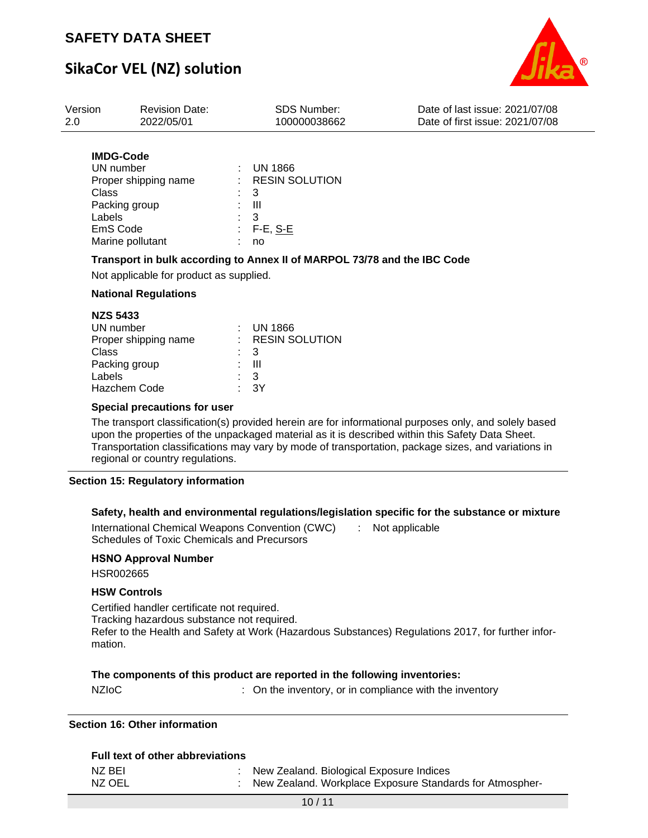## **SikaCor VEL (NZ) solution**



| Version | <b>Revision Date:</b>                                        | <b>SDS Number:</b>                | Date of last issue: 2021/07/08  |
|---------|--------------------------------------------------------------|-----------------------------------|---------------------------------|
| 2.0     | 2022/05/01                                                   | 100000038662                      | Date of first issue: 2021/07/08 |
|         | <b>IMDG-Code</b><br>UN number<br><b>Dropor chinning namo</b> | UN 1866<br><b>DECIN COLLITION</b> |                                 |

| Proper shipping name | : RESIN SOLUTION |
|----------------------|------------------|
| Class                | $\therefore$ 3   |
| Packing group        | : III            |
| Labels               | $\cdot$ 3        |
| EmS Code             | $: F-E, S-E$     |
| Marine pollutant     | no               |

### **Transport in bulk according to Annex II of MARPOL 73/78 and the IBC Code**

Not applicable for product as supplied.

### **National Regulations**

| <b>NZS 5433</b>      |                |                    |
|----------------------|----------------|--------------------|
| UN number            |                | $:$ UN 1866        |
| Proper shipping name |                | $:$ RESIN SOLUTION |
| Class                | $\therefore$ 3 |                    |
| Packing group        |                | : III              |
| Labels               | : 3            |                    |
| <b>Hazchem Code</b>  |                | $\cdot$ 3Y         |
|                      |                |                    |

#### **Special precautions for user**

The transport classification(s) provided herein are for informational purposes only, and solely based upon the properties of the unpackaged material as it is described within this Safety Data Sheet. Transportation classifications may vary by mode of transportation, package sizes, and variations in regional or country regulations.

#### **Section 15: Regulatory information**

#### **Safety, health and environmental regulations/legislation specific for the substance or mixture**

International Chemical Weapons Convention (CWC) Schedules of Toxic Chemicals and Precursors : Not applicable

### **HSNO Approval Number**

HSR002665

#### **HSW Controls**

Certified handler certificate not required. Tracking hazardous substance not required. Refer to the Health and Safety at Work (Hazardous Substances) Regulations 2017, for further information.

### **The components of this product are reported in the following inventories:**

NZIoC : Con the inventory, or in compliance with the inventory

#### **Section 16: Other information**

| <b>Full text of other abbreviations</b> |                                                          |
|-----------------------------------------|----------------------------------------------------------|
| NZ BEI                                  | New Zealand. Biological Exposure Indices                 |
| NZ OEL                                  | New Zealand. Workplace Exposure Standards for Atmospher- |